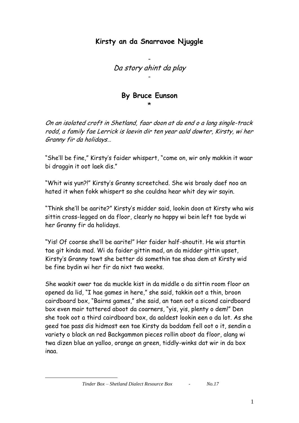## **Kirsty an da Snarravoe Njuggle**

- Da story ahint da play -

## **By Bruce Eunson** \*

On an isolated croft in Shetland, faar doon at da end o a lang single-track rodd, a family fae Lerrick is laevin dir ten year aald dowter, Kirsty, wi her Granny fir da holidays…

"She'll be fine," Kirsty's faider whispert, "come on, wir only makkin it waar bi draggin it oot laek dis."

"Whit wis yun?!" Kirsty's Granny screetched. She wis braaly daef noo an hated it when fokk whispert so she couldna hear whit dey wir sayin.

"Think she'll be aarite?" Kirsty's midder said, lookin doon at Kirsty wha wis sittin cross-legged on da floor, clearly no happy wi bein left tae byde wi her Granny fir da holidays.

"Yis! Of coorse she'll be aarite!" Her faider half-shoutit. He wis startin tae git kinda mad. Wi da faider gittin mad, an da midder gittin upset, Kirsty's Granny towt she better dö somethin tae shaa dem at Kirsty wid be fine bydin wi her fir da nixt twa weeks.

She waakit ower tae da muckle kist in da middle o da sittin room floor an opened da lid, "I hae games in here," she said, takkin oot a thin, broon cairdboard box, "Bairns games," she said, an taen oot a sicond cairdboard box even mair tattered aboot da coarners, "yis, yis, plenty o dem!" Den she took oot a third cairdboard box, da aaldest lookin een o da lot. As she geed tae pass dis hidmost een tae Kirsty da boddam fell oot o it, sendin a variety o black an red Backgammon pieces rollin aboot da floor, alang wi twa dizen blue an yalloo, orange an green, tiddly-winks dat wir in da box inaa.

1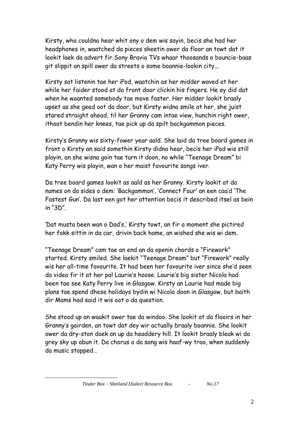Kirsty, wha couldna hear whit ony o dem wis sayin, becis she had her headphones in, waatched da pieces skeetin ower da floor an towt dat it lookit laek da advert fir Sony Bravia TVs whaar thoosands o bouncie-baas git slippit an spill ower da streets o some boannie-lookin city...

Kirsty sat listenin tae her iPod, waatchin as her midder waved at her while her faider stood at da front door clickin his fingers. He ey did dat when he waanted somebody tae move faster. Her midder lookit braaly upset as she geed oot da door, but Kirsty widna smile at her, she juist stared straight ahead, til her Granny cam intae view, hunchin right ower, ithoot bendin her knees, tae pick up da spilt backgammon pieces.

Kirsty's Granny wis sixty-fower year aald. She laid da tree board games in front o Kirsty an said somethin Kirsty didna hear, becis her iPod wis still playin, an she wisna goin tae turn it doon, no while "Teenage Dream" bi Katy Perry wis playin, wan o her maist favourite songs iver.

Da tree board games lookit as aald as her Granny. Kirsty lookit at da names on da sides o dem: 'Backgammon', 'Connect Four' an een caa'd 'The Fastest Gun'. Da last een got her attention becis it described itsel as bein in "3D".

'Dat musta been wan o Dad's,' Kirsty towt, an fir a moment she pictired her fokk sittin in da car, drivin back hame, an wished she wis wi dem.

"Teenage Dream" cam tae an end an da openin chords o "Firework" started. Kirsty smiled. She laekit "Teenage Dream" but "Firework" really wis her all-time favourite. It had been her favourite iver since she'd seen da video fir it at her pal Laurie's hoose. Laurie's big sister Nicola had been tae see Katy Perry live in Glasgow. Kirsty an Laurie had made big plans tae spend dhese holidays bydin wi Nicola doon in Glasgow, but baith dir Mams had said it wis oot o da question.

She stood up an waakit ower tae da windoo. She lookit at da flooirs in her Granny's gairden, an towt dat dey wir actually braaly boannie. She lookit ower da dry-ston daek an up da headdery hill. It lookit braaly bleak wi da grey sky up abun it. Da chorus o da song wis haaf-wy troo, when suddenly da music stopped…

1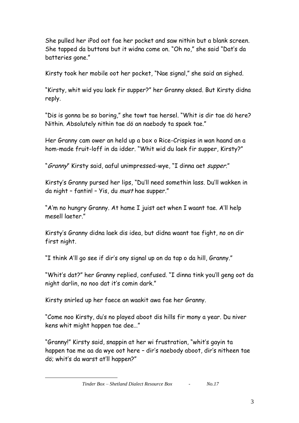She pulled her iPod oot fae her pocket and saw nithin but a blank screen. She tapped da buttons but it widna come on. "Oh no," she said "Dat's da batteries gone."

Kirsty took her mobile oot her pocket, "Nae signal," she said an sighed.

"Kirsty, whit wid you laek fir supper?" her Granny aksed. But Kirsty didna reply.

"Dis is gonna be so boring," she towt tae hersel. "Whit is dir tae dö here? Nithin. Absolutely nithin tae dö an naebody ta spaek tae."

Her Granny cam ower an held up a box o Rice-Crispies in wan haand an a hom-made fruit-loff in da idder. "Whit wid du laek fir supper, Kirsty?"

"Granny" Kirsty said, aaful unimpressed-wye, "I dinna aet supper."

Kirsty's Granny pursed her lips, "Du'll need somethin lass. Du'll wakken in da night - fantin! - Yis, du *must* hae supper."

"A'm no hungry Granny. At hame I juist aet when I waant tae. A'll help mesell laeter."

Kirsty's Granny didna laek dis idea, but didna waant tae fight, no on dir first night.

"I think A'll go see if dir's ony signal up on da tap o da hill, Granny."

"Whit's dat?" her Granny replied, confused. "I dinna tink you'll geng oot da night darlin, no noo dat it's comin dark."

Kirsty snirled up her faece an waakit awa fae her Granny.

1

"Come noo Kirsty, du's no played aboot dis hills fir mony a year. Du niver kens whit might happen tae dee…"

"Granny!" Kirsty said, snappin at her wi frustration, "whit's gayin ta happen tae me aa da wye oot here – dir's naebody aboot, dir's nitheen tae dö; whit's da warst at'll happen?"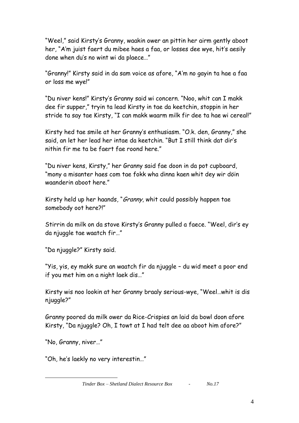"Weel," said Kirsty's Granny, waakin ower an pittin her airm gently aboot her, "A'm juist faert du mibee haes a faa, or losses dee wye, hit's aesily done when du's no wint wi da plaece…"

"Granny!" Kirsty said in da sam voice as afore, "A'm no gayin ta hae a faa or loss me wye!"

"Du niver kens!" Kirsty's Granny said wi concern. "Noo, whit can I makk dee fir supper," tryin ta lead Kirsty in tae da keetchin, stoppin in her stride ta say tae Kirsty, "I can makk waarm milk fir dee ta hae wi cereal!"

Kirsty hed tae smile at her Granny's enthusiasm. "O.k. den, Granny," she said, an let her lead her intae da keetchin. "But I still think dat dir's nithin fir me ta be faert fae roond here."

"Du niver kens, Kirsty," her Granny said fae doon in da pot cupboard, "mony a misanter haes com tae fokk wha dinna kaen whit dey wir döin waanderin aboot here."

Kirsty held up her haands, "Granny, whit could possibly happen tae somebody oot here?!"

Stirrin da milk on da stove Kirsty's Granny pulled a faece. "Weel, dir's ey da njuggle tae waatch fir…"

"Da njuggle?" Kirsty said.

"Yis, yis, ey makk sure an waatch fir da njuggle – du wid meet a poor end if you met him on a night laek dis…"

Kirsty wis noo lookin at her Granny braaly serious-wye, "Weel…whit is dis njuggle?"

Granny poored da milk ower da Rice-Crispies an laid da bowl doon afore Kirsty, "Da njuggle? Oh, I towt at I had telt dee aa aboot him afore?"

"No, Granny, niver…"

1

"Oh, he's laekly no very interestin…"